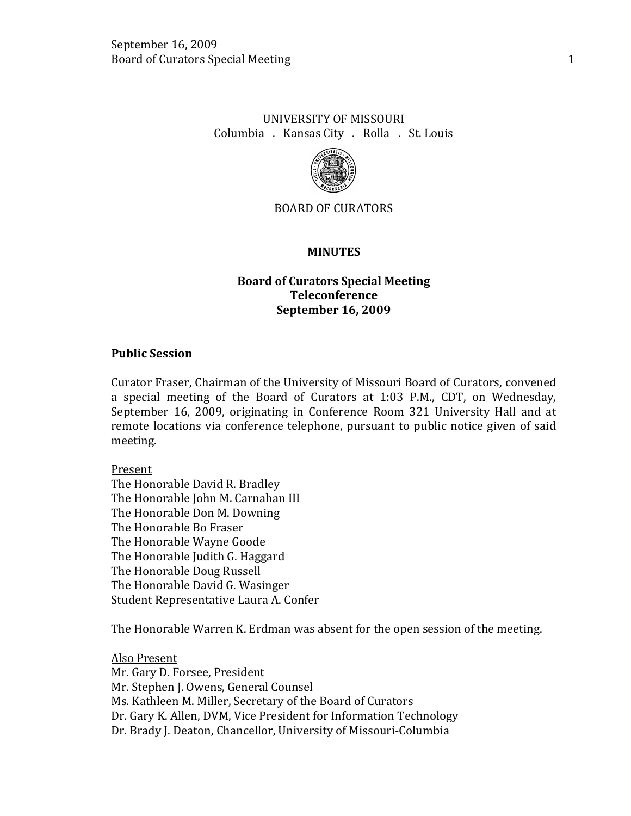## UNIVERSITY OF MISSOURI Columbia . Kansas City . Rolla . St. Louis



### BOARD OF CURATORS

**MINUTES**

# **Board of Curators Special Meeting Teleconference September 16, 2009**

### **Public Session**

Curator Fraser, Chairman of the University of Missouri Board of Curators, convened a special meeting of the Board of Curators at 1:03 P.M., CDT, on Wednesday, September 16, 2009, originating in Conference Room 321 University Hall and at remote locations via conference telephone, pursuant to public notice given of said meeting.

Present

The Honorable David R. Bradley The Honorable John M. Carnahan III The Honorable Don M. Downing The Honorable Bo Fraser The Honorable Wayne Goode The Honorable Judith G. Haggard The Honorable Doug Russell The Honorable David G. Wasinger Student Representative Laura A. Confer

The Honorable Warren K. Erdman was absent for the open session of the meeting.

Also Present Mr. Gary D. Forsee, President Mr. Stephen J. Owens, General Counsel Ms. Kathleen M. Miller, Secretary of the Board of Curators Dr. Gary K. Allen, DVM, Vice President for Information Technology Dr. Brady J. Deaton, Chancellor, University of Missouri-Columbia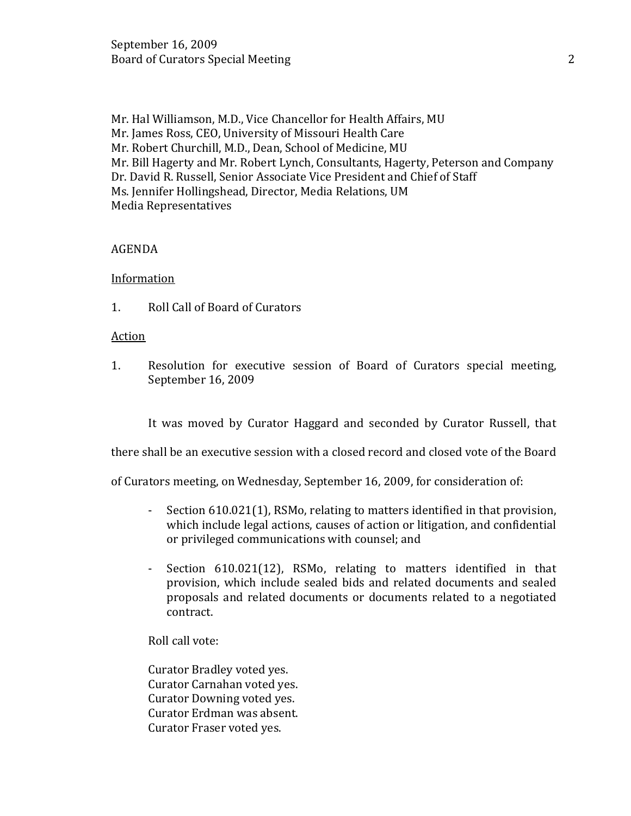Mr. Hal Williamson, M.D., Vice Chancellor for Health Affairs, MU Mr. James Ross, CEO, University of Missouri Health Care Mr. Robert Churchill, M.D., Dean, School of Medicine, MU Mr. Bill Hagerty and Mr. Robert Lynch, Consultants, Hagerty, Peterson and Company Dr. David R. Russell, Senior Associate Vice President and Chief of Staff Ms. Jennifer Hollingshead, Director, Media Relations, UM Media Representatives

### AGENDA

### **Information**

1. Roll Call of Board of Curators

### Action

1. Resolution for executive session of Board of Curators special meeting, September 16, 2009

It was moved by Curator Haggard and seconded by Curator Russell, that

there shall be an executive session with a closed record and closed vote of the Board

of Curators meeting, on Wednesday, September 16, 2009, for consideration of:

- Section 610.021(1), RSMo, relating to matters identified in that provision, which include legal actions, causes of action or litigation, and confidential or privileged communications with counsel; and
- Section 610.021(12), RSMo, relating to matters identified in that provision, which include sealed bids and related documents and sealed proposals and related documents or documents related to a negotiated contract.

Roll call vote:

Curator Bradley voted yes. Curator Carnahan voted yes. Curator Downing voted yes. Curator Erdman was absent. Curator Fraser voted yes.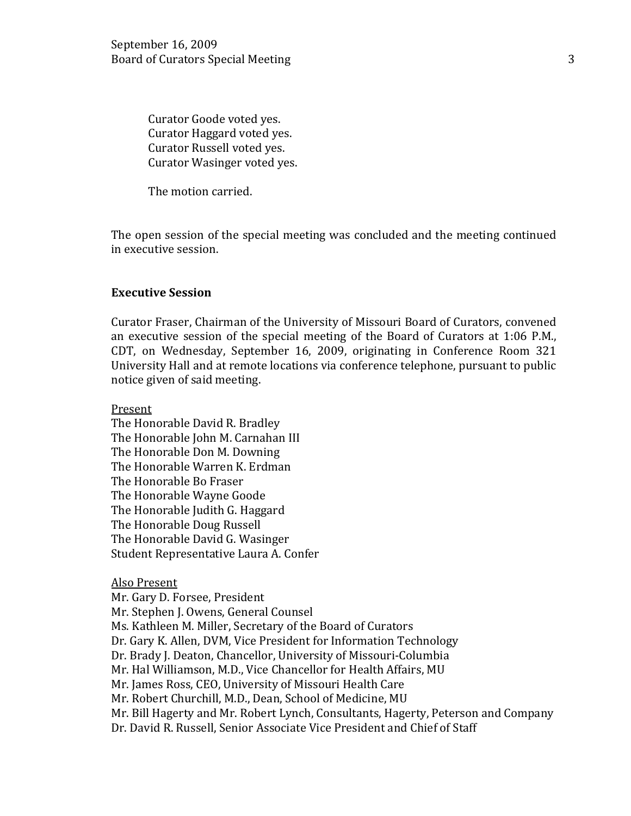Curator Goode voted yes. Curator Haggard voted yes. Curator Russell voted yes. Curator Wasinger voted yes.

The motion carried.

The open session of the special meeting was concluded and the meeting continued in executive session.

#### **Executive Session**

Curator Fraser, Chairman of the University of Missouri Board of Curators, convened an executive session of the special meeting of the Board of Curators at 1:06 P.M., CDT, on Wednesday, September 16, 2009, originating in Conference Room 321 University Hall and at remote locations via conference telephone, pursuant to public notice given of said meeting.

Present

The Honorable David R. Bradley The Honorable John M. Carnahan III The Honorable Don M. Downing The Honorable Warren K. Erdman The Honorable Bo Fraser The Honorable Wayne Goode The Honorable Judith G. Haggard The Honorable Doug Russell The Honorable David G. Wasinger Student Representative Laura A. Confer

#### Also Present

Mr. Gary D. Forsee, President Mr. Stephen J. Owens, General Counsel Ms. Kathleen M. Miller, Secretary of the Board of Curators Dr. Gary K. Allen, DVM, Vice President for Information Technology Dr. Brady J. Deaton, Chancellor, University of Missouri-Columbia Mr. Hal Williamson, M.D., Vice Chancellor for Health Affairs, MU Mr. James Ross, CEO, University of Missouri Health Care Mr. Robert Churchill, M.D., Dean, School of Medicine, MU Mr. Bill Hagerty and Mr. Robert Lynch, Consultants, Hagerty, Peterson and Company Dr. David R. Russell, Senior Associate Vice President and Chief of Staff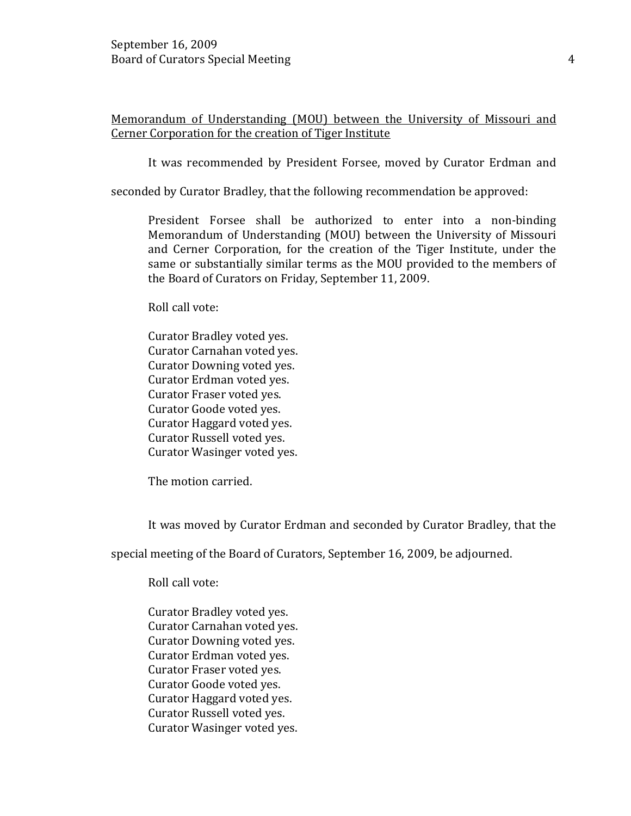# Memorandum of Understanding (MOU) between the University of Missouri and Cerner Corporation for the creation of Tiger Institute

It was recommended by President Forsee, moved by Curator Erdman and

seconded by Curator Bradley, that the following recommendation be approved:

President Forsee shall be authorized to enter into a non-binding Memorandum of Understanding (MOU) between the University of Missouri and Cerner Corporation, for the creation of the Tiger Institute, under the same or substantially similar terms as the MOU provided to the members of the Board of Curators on Friday, September 11, 2009.

Roll call vote:

Curator Bradley voted yes. Curator Carnahan voted yes. Curator Downing voted yes. Curator Erdman voted yes. Curator Fraser voted yes. Curator Goode voted yes. Curator Haggard voted yes. Curator Russell voted yes. Curator Wasinger voted yes.

The motion carried.

It was moved by Curator Erdman and seconded by Curator Bradley, that the

special meeting of the Board of Curators, September 16, 2009, be adjourned.

Roll call vote:

Curator Bradley voted yes. Curator Carnahan voted yes. Curator Downing voted yes. Curator Erdman voted yes. Curator Fraser voted yes. Curator Goode voted yes. Curator Haggard voted yes. Curator Russell voted yes. Curator Wasinger voted yes.